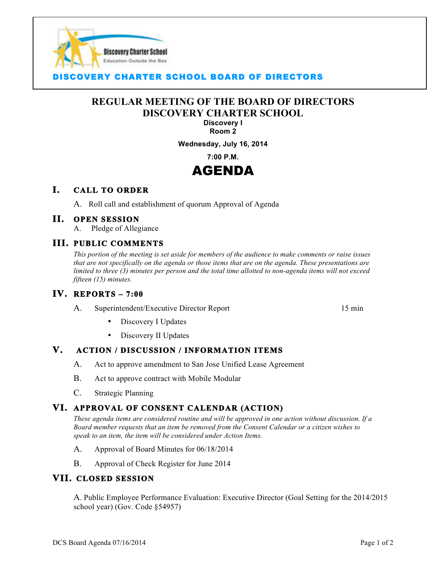

### **COVERY CHARTER SCHOOL BOARD OF DIRECTORS**

# **REGULAR MEETING OF THE BOARD OF DIRECTORS DISCOVERY CHARTER SCHOOL**

 $\overline{a}$ 

#### **Discovery I Room 2**

#### **Wednesday, July 16, 2014**

**7:00 P.M.**

# AGENDA

#### **I. CALL TO ORDER**

A. Roll call and establishment of quorum Approval of Agenda

#### **II. OPEN SESSION**

A. Pledge of Allegiance

#### **III. PUBLIC COMMENTS**

*This portion of the meeting is set aside for members of the audience to make comments or raise issues that are not specifically on the agenda or those items that are on the agenda. These presentations are limited to three (3) minutes per person and the total time allotted to non-agenda items will not exceed fifteen (15) minutes.*

#### **IV. REPORTS – 7:00**

A. Superintendent/Executive Director Report 15 min

Discovery I Updates

• Discovery II Updates

#### **V. ACTION / DISCUSSION / INFORMATION ITEMS**

- A. Act to approve amendment to San Jose Unified Lease Agreement
- B. Act to approve contract with Mobile Modular
- C. Strategic Planning

### **VI. APPROVAL OF CONSENT CALENDAR (ACTION)**

*These agenda items are considered routine and will be approved in one action without discussion. If a Board member requests that an item be removed from the Consent Calendar or a citizen wishes to speak to an item, the item will be considered under Action Items.*

- A. Approval of Board Minutes for 06/18/2014
- B. Approval of Check Register for June 2014

#### **VII. CLOSED SESSION**

A. Public Employee Performance Evaluation: Executive Director (Goal Setting for the 2014/2015 school year) (Gov. Code §54957)